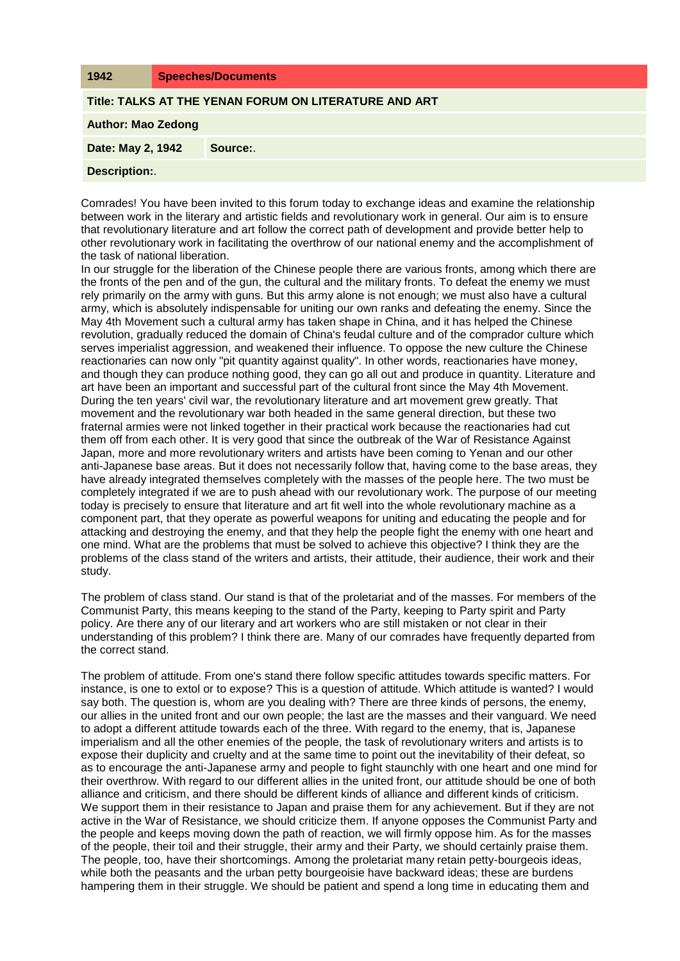| 1942                                                  |  | Speeches/Documents |
|-------------------------------------------------------|--|--------------------|
| Title: TALKS AT THE YENAN FORUM ON LITERATURE AND ART |  |                    |
| <b>Author: Mao Zedong</b>                             |  |                    |
| Date: May 2, 1942                                     |  | Source:            |
| <b>Description:.</b>                                  |  |                    |

Comrades! You have been invited to this forum today to exchange ideas and examine the relationship between work in the literary and artistic fields and revolutionary work in general. Our aim is to ensure that revolutionary literature and art follow the correct path of development and provide better help to other revolutionary work in facilitating the overthrow of our national enemy and the accomplishment of the task of national liberation.

In our struggle for the liberation of the Chinese people there are various fronts, among which there are the fronts of the pen and of the gun, the cultural and the military fronts. To defeat the enemy we must rely primarily on the army with guns. But this army alone is not enough; we must also have a cultural army, which is absolutely indispensable for uniting our own ranks and defeating the enemy. Since the May 4th Movement such a cultural army has taken shape in China, and it has helped the Chinese revolution, gradually reduced the domain of China's feudal culture and of the comprador culture which serves imperialist aggression, and weakened their influence. To oppose the new culture the Chinese reactionaries can now only "pit quantity against quality". In other words, reactionaries have money, and though they can produce nothing good, they can go all out and produce in quantity. Literature and art have been an important and successful part of the cultural front since the May 4th Movement. During the ten years' civil war, the revolutionary literature and art movement grew greatly. That movement and the revolutionary war both headed in the same general direction, but these two fraternal armies were not linked together in their practical work because the reactionaries had cut them off from each other. It is very good that since the outbreak of the War of Resistance Against Japan, more and more revolutionary writers and artists have been coming to Yenan and our other anti-Japanese base areas. But it does not necessarily follow that, having come to the base areas, they have already integrated themselves completely with the masses of the people here. The two must be completely integrated if we are to push ahead with our revolutionary work. The purpose of our meeting today is precisely to ensure that literature and art fit well into the whole revolutionary machine as a component part, that they operate as powerful weapons for uniting and educating the people and for attacking and destroying the enemy, and that they help the people fight the enemy with one heart and one mind. What are the problems that must be solved to achieve this objective? I think they are the problems of the class stand of the writers and artists, their attitude, their audience, their work and their study.

The problem of class stand. Our stand is that of the proletariat and of the masses. For members of the Communist Party, this means keeping to the stand of the Party, keeping to Party spirit and Party policy. Are there any of our literary and art workers who are still mistaken or not clear in their understanding of this problem? I think there are. Many of our comrades have frequently departed from the correct stand.

The problem of attitude. From one's stand there follow specific attitudes towards specific matters. For instance, is one to extol or to expose? This is a question of attitude. Which attitude is wanted? I would say both. The question is, whom are you dealing with? There are three kinds of persons, the enemy, our allies in the united front and our own people; the last are the masses and their vanguard. We need to adopt a different attitude towards each of the three. With regard to the enemy, that is, Japanese imperialism and all the other enemies of the people, the task of revolutionary writers and artists is to expose their duplicity and cruelty and at the same time to point out the inevitability of their defeat, so as to encourage the anti-Japanese army and people to fight staunchly with one heart and one mind for their overthrow. With regard to our different allies in the united front, our attitude should be one of both alliance and criticism, and there should be different kinds of alliance and different kinds of criticism. We support them in their resistance to Japan and praise them for any achievement. But if they are not active in the War of Resistance, we should criticize them. If anyone opposes the Communist Party and the people and keeps moving down the path of reaction, we will firmly oppose him. As for the masses of the people, their toil and their struggle, their army and their Party, we should certainly praise them. The people, too, have their shortcomings. Among the proletariat many retain petty-bourgeois ideas, while both the peasants and the urban petty bourgeoisie have backward ideas; these are burdens hampering them in their struggle. We should be patient and spend a long time in educating them and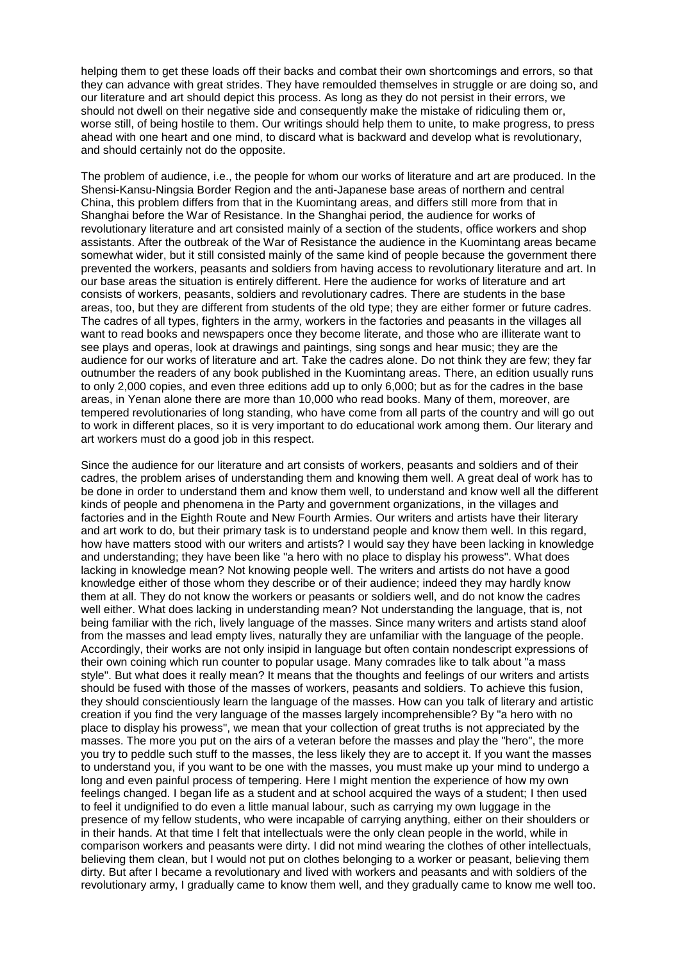helping them to get these loads off their backs and combat their own shortcomings and errors, so that they can advance with great strides. They have remoulded themselves in struggle or are doing so, and our literature and art should depict this process. As long as they do not persist in their errors, we should not dwell on their negative side and consequently make the mistake of ridiculing them or, worse still, of being hostile to them. Our writings should help them to unite, to make progress, to press ahead with one heart and one mind, to discard what is backward and develop what is revolutionary, and should certainly not do the opposite.

The problem of audience, i.e., the people for whom our works of literature and art are produced. In the Shensi-Kansu-Ningsia Border Region and the anti-Japanese base areas of northern and central China, this problem differs from that in the Kuomintang areas, and differs still more from that in Shanghai before the War of Resistance. In the Shanghai period, the audience for works of revolutionary literature and art consisted mainly of a section of the students, office workers and shop assistants. After the outbreak of the War of Resistance the audience in the Kuomintang areas became somewhat wider, but it still consisted mainly of the same kind of people because the government there prevented the workers, peasants and soldiers from having access to revolutionary literature and art. In our base areas the situation is entirely different. Here the audience for works of literature and art consists of workers, peasants, soldiers and revolutionary cadres. There are students in the base areas, too, but they are different from students of the old type; they are either former or future cadres. The cadres of all types, fighters in the army, workers in the factories and peasants in the villages all want to read books and newspapers once they become literate, and those who are illiterate want to see plays and operas, look at drawings and paintings, sing songs and hear music; they are the audience for our works of literature and art. Take the cadres alone. Do not think they are few; they far outnumber the readers of any book published in the Kuomintang areas. There, an edition usually runs to only 2,000 copies, and even three editions add up to only 6,000; but as for the cadres in the base areas, in Yenan alone there are more than 10,000 who read books. Many of them, moreover, are tempered revolutionaries of long standing, who have come from all parts of the country and will go out to work in different places, so it is very important to do educational work among them. Our literary and art workers must do a good job in this respect.

Since the audience for our literature and art consists of workers, peasants and soldiers and of their cadres, the problem arises of understanding them and knowing them well. A great deal of work has to be done in order to understand them and know them well, to understand and know well all the different kinds of people and phenomena in the Party and government organizations, in the villages and factories and in the Eighth Route and New Fourth Armies. Our writers and artists have their literary and art work to do, but their primary task is to understand people and know them well. In this regard, how have matters stood with our writers and artists? I would say they have been lacking in knowledge and understanding; they have been like "a hero with no place to display his prowess". What does lacking in knowledge mean? Not knowing people well. The writers and artists do not have a good knowledge either of those whom they describe or of their audience; indeed they may hardly know them at all. They do not know the workers or peasants or soldiers well, and do not know the cadres well either. What does lacking in understanding mean? Not understanding the language, that is, not being familiar with the rich, lively language of the masses. Since many writers and artists stand aloof from the masses and lead empty lives, naturally they are unfamiliar with the language of the people. Accordingly, their works are not only insipid in language but often contain nondescript expressions of their own coining which run counter to popular usage. Many comrades like to talk about "a mass style". But what does it really mean? It means that the thoughts and feelings of our writers and artists should be fused with those of the masses of workers, peasants and soldiers. To achieve this fusion, they should conscientiously learn the language of the masses. How can you talk of literary and artistic creation if you find the very language of the masses largely incomprehensible? By "a hero with no place to display his prowess", we mean that your collection of great truths is not appreciated by the masses. The more you put on the airs of a veteran before the masses and play the "hero", the more you try to peddle such stuff to the masses, the less likely they are to accept it. If you want the masses to understand you, if you want to be one with the masses, you must make up your mind to undergo a long and even painful process of tempering. Here I might mention the experience of how my own feelings changed. I began life as a student and at school acquired the ways of a student; I then used to feel it undignified to do even a little manual labour, such as carrying my own luggage in the presence of my fellow students, who were incapable of carrying anything, either on their shoulders or in their hands. At that time I felt that intellectuals were the only clean people in the world, while in comparison workers and peasants were dirty. I did not mind wearing the clothes of other intellectuals, believing them clean, but I would not put on clothes belonging to a worker or peasant, believing them dirty. But after I became a revolutionary and lived with workers and peasants and with soldiers of the revolutionary army, I gradually came to know them well, and they gradually came to know me well too.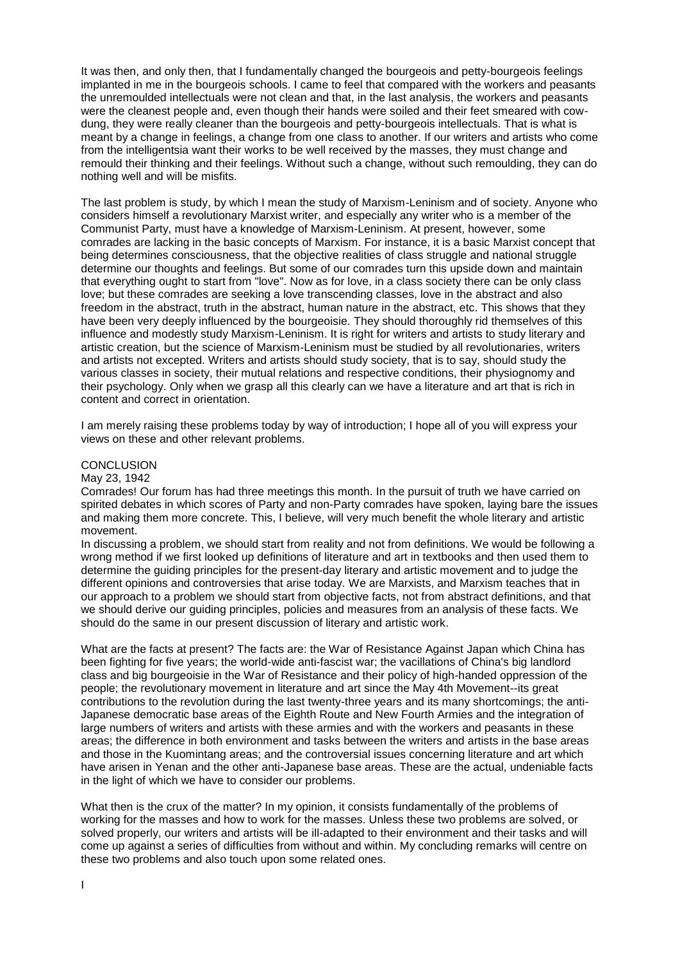It was then, and only then, that I fundamentally changed the bourgeois and petty-bourgeois feelings implanted in me in the bourgeois schools. I came to feel that compared with the workers and peasants the unremoulded intellectuals were not clean and that, in the last analysis, the workers and peasants were the cleanest people and, even though their hands were soiled and their feet smeared with cowdung, they were really cleaner than the bourgeois and petty-bourgeois intellectuals. That is what is meant by a change in feelings, a change from one class to another. If our writers and artists who come from the intelligentsia want their works to be well received by the masses, they must change and remould their thinking and their feelings. Without such a change, without such remoulding, they can do nothing well and will be misfits.

The last problem is study, by which I mean the study of Marxism-Leninism and of society. Anyone who considers himself a revolutionary Marxist writer, and especially any writer who is a member of the Communist Party, must have a knowledge of Marxism-Leninism. At present, however, some comrades are lacking in the basic concepts of Marxism. For instance, it is a basic Marxist concept that being determines consciousness, that the objective realities of class struggle and national struggle determine our thoughts and feelings. But some of our comrades turn this upside down and maintain that everything ought to start from "love". Now as for love, in a class society there can be only class love; but these comrades are seeking a love transcending classes, love in the abstract and also freedom in the abstract, truth in the abstract, human nature in the abstract, etc. This shows that they have been very deeply influenced by the bourgeoisie. They should thoroughly rid themselves of this influence and modestly study Marxism-Leninism. It is right for writers and artists to study literary and artistic creation, but the science of Marxism-Leninism must be studied by all revolutionaries, writers and artists not excepted. Writers and artists should study society, that is to say, should study the various classes in society, their mutual relations and respective conditions, their physiognomy and their psychology. Only when we grasp all this clearly can we have a literature and art that is rich in content and correct in orientation.

I am merely raising these problems today by way of introduction; I hope all of you will express your views on these and other relevant problems.

# **CONCLUSION**

#### May 23, 1942

Comrades! Our forum has had three meetings this month. In the pursuit of truth we have carried on spirited debates in which scores of Party and non-Party comrades have spoken, laying bare the issues and making them more concrete. This, I believe, will very much benefit the whole literary and artistic movement.

In discussing a problem, we should start from reality and not from definitions. We would be following a wrong method if we first looked up definitions of literature and art in textbooks and then used them to determine the guiding principles for the present-day literary and artistic movement and to judge the different opinions and controversies that arise today. We are Marxists, and Marxism teaches that in our approach to a problem we should start from objective facts, not from abstract definitions, and that we should derive our guiding principles, policies and measures from an analysis of these facts. We should do the same in our present discussion of literary and artistic work.

What are the facts at present? The facts are: the War of Resistance Against Japan which China has been fighting for five years; the world-wide anti-fascist war; the vacillations of China's big landlord class and big bourgeoisie in the War of Resistance and their policy of high-handed oppression of the people; the revolutionary movement in literature and art since the May 4th Movement--its great contributions to the revolution during the last twenty-three years and its many shortcomings; the anti-Japanese democratic base areas of the Eighth Route and New Fourth Armies and the integration of large numbers of writers and artists with these armies and with the workers and peasants in these areas; the difference in both environment and tasks between the writers and artists in the base areas and those in the Kuomintang areas; and the controversial issues concerning literature and art which have arisen in Yenan and the other anti-Japanese base areas. These are the actual, undeniable facts in the light of which we have to consider our problems.

What then is the crux of the matter? In my opinion, it consists fundamentally of the problems of working for the masses and how to work for the masses. Unless these two problems are solved, or solved properly, our writers and artists will be ill-adapted to their environment and their tasks and will come up against a series of difficulties from without and within. My concluding remarks will centre on these two problems and also touch upon some related ones.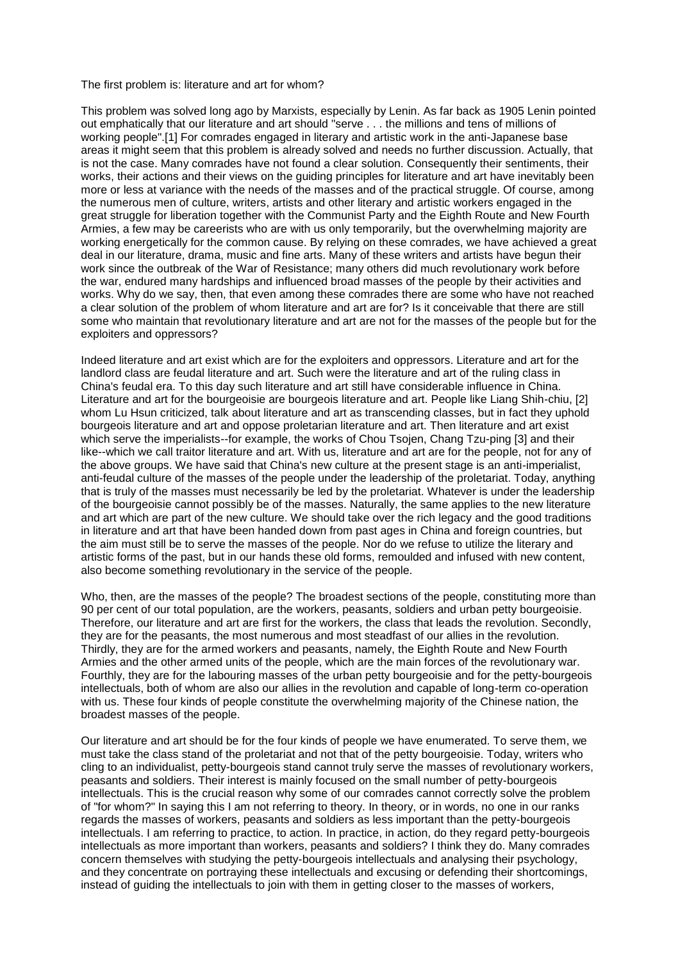The first problem is: literature and art for whom?

This problem was solved long ago by Marxists, especially by Lenin. As far back as 1905 Lenin pointed out emphatically that our literature and art should "serve . . . the millions and tens of millions of working people".[1] For comrades engaged in literary and artistic work in the anti-Japanese base areas it might seem that this problem is already solved and needs no further discussion. Actually, that is not the case. Many comrades have not found a clear solution. Consequently their sentiments, their works, their actions and their views on the guiding principles for literature and art have inevitably been more or less at variance with the needs of the masses and of the practical struggle. Of course, among the numerous men of culture, writers, artists and other literary and artistic workers engaged in the great struggle for liberation together with the Communist Party and the Eighth Route and New Fourth Armies, a few may be careerists who are with us only temporarily, but the overwhelming majority are working energetically for the common cause. By relying on these comrades, we have achieved a great deal in our literature, drama, music and fine arts. Many of these writers and artists have begun their work since the outbreak of the War of Resistance; many others did much revolutionary work before the war, endured many hardships and influenced broad masses of the people by their activities and works. Why do we say, then, that even among these comrades there are some who have not reached a clear solution of the problem of whom literature and art are for? Is it conceivable that there are still some who maintain that revolutionary literature and art are not for the masses of the people but for the exploiters and oppressors?

Indeed literature and art exist which are for the exploiters and oppressors. Literature and art for the landlord class are feudal literature and art. Such were the literature and art of the ruling class in China's feudal era. To this day such literature and art still have considerable influence in China. Literature and art for the bourgeoisie are bourgeois literature and art. People like Liang Shih-chiu, [2] whom Lu Hsun criticized, talk about literature and art as transcending classes, but in fact they uphold bourgeois literature and art and oppose proletarian literature and art. Then literature and art exist which serve the imperialists--for example, the works of Chou Tsojen, Chang Tzu-ping [3] and their like--which we call traitor literature and art. With us, literature and art are for the people, not for any of the above groups. We have said that China's new culture at the present stage is an anti-imperialist, anti-feudal culture of the masses of the people under the leadership of the proletariat. Today, anything that is truly of the masses must necessarily be led by the proletariat. Whatever is under the leadership of the bourgeoisie cannot possibly be of the masses. Naturally, the same applies to the new literature and art which are part of the new culture. We should take over the rich legacy and the good traditions in literature and art that have been handed down from past ages in China and foreign countries, but the aim must still be to serve the masses of the people. Nor do we refuse to utilize the literary and artistic forms of the past, but in our hands these old forms, remoulded and infused with new content, also become something revolutionary in the service of the people.

Who, then, are the masses of the people? The broadest sections of the people, constituting more than 90 per cent of our total population, are the workers, peasants, soldiers and urban petty bourgeoisie. Therefore, our literature and art are first for the workers, the class that leads the revolution. Secondly, they are for the peasants, the most numerous and most steadfast of our allies in the revolution. Thirdly, they are for the armed workers and peasants, namely, the Eighth Route and New Fourth Armies and the other armed units of the people, which are the main forces of the revolutionary war. Fourthly, they are for the labouring masses of the urban petty bourgeoisie and for the petty-bourgeois intellectuals, both of whom are also our allies in the revolution and capable of long-term co-operation with us. These four kinds of people constitute the overwhelming majority of the Chinese nation, the broadest masses of the people.

Our literature and art should be for the four kinds of people we have enumerated. To serve them, we must take the class stand of the proletariat and not that of the petty bourgeoisie. Today, writers who cling to an individualist, petty-bourgeois stand cannot truly serve the masses of revolutionary workers, peasants and soldiers. Their interest is mainly focused on the small number of petty-bourgeois intellectuals. This is the crucial reason why some of our comrades cannot correctly solve the problem of "for whom?" In saying this I am not referring to theory. In theory, or in words, no one in our ranks regards the masses of workers, peasants and soldiers as less important than the petty-bourgeois intellectuals. I am referring to practice, to action. In practice, in action, do they regard petty-bourgeois intellectuals as more important than workers, peasants and soldiers? I think they do. Many comrades concern themselves with studying the petty-bourgeois intellectuals and analysing their psychology, and they concentrate on portraying these intellectuals and excusing or defending their shortcomings, instead of guiding the intellectuals to join with them in getting closer to the masses of workers,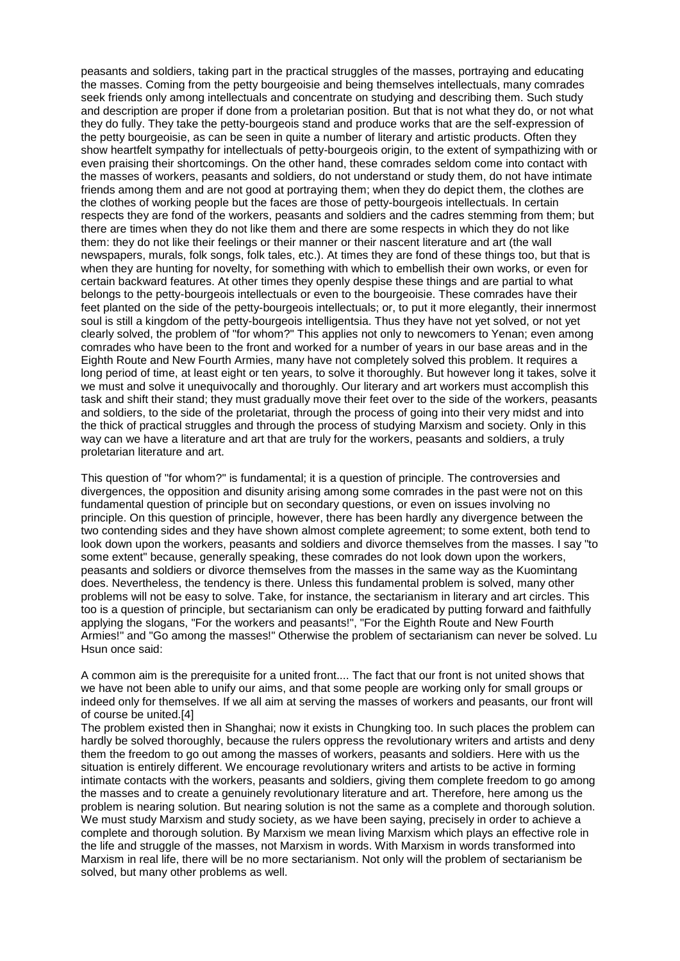peasants and soldiers, taking part in the practical struggles of the masses, portraying and educating the masses. Coming from the petty bourgeoisie and being themselves intellectuals, many comrades seek friends only among intellectuals and concentrate on studying and describing them. Such study and description are proper if done from a proletarian position. But that is not what they do, or not what they do fully. They take the petty-bourgeois stand and produce works that are the self-expression of the petty bourgeoisie, as can be seen in quite a number of literary and artistic products. Often they show heartfelt sympathy for intellectuals of petty-bourgeois origin, to the extent of sympathizing with or even praising their shortcomings. On the other hand, these comrades seldom come into contact with the masses of workers, peasants and soldiers, do not understand or study them, do not have intimate friends among them and are not good at portraying them; when they do depict them, the clothes are the clothes of working people but the faces are those of petty-bourgeois intellectuals. In certain respects they are fond of the workers, peasants and soldiers and the cadres stemming from them; but there are times when they do not like them and there are some respects in which they do not like them: they do not like their feelings or their manner or their nascent literature and art (the wall newspapers, murals, folk songs, folk tales, etc.). At times they are fond of these things too, but that is when they are hunting for novelty, for something with which to embellish their own works, or even for certain backward features. At other times they openly despise these things and are partial to what belongs to the petty-bourgeois intellectuals or even to the bourgeoisie. These comrades have their feet planted on the side of the petty-bourgeois intellectuals; or, to put it more elegantly, their innermost soul is still a kingdom of the petty-bourgeois intelligentsia. Thus they have not yet solved, or not yet clearly solved, the problem of "for whom?" This applies not only to newcomers to Yenan; even among comrades who have been to the front and worked for a number of years in our base areas and in the Eighth Route and New Fourth Armies, many have not completely solved this problem. It requires a long period of time, at least eight or ten years, to solve it thoroughly. But however long it takes, solve it we must and solve it unequivocally and thoroughly. Our literary and art workers must accomplish this task and shift their stand; they must gradually move their feet over to the side of the workers, peasants and soldiers, to the side of the proletariat, through the process of going into their very midst and into the thick of practical struggles and through the process of studying Marxism and society. Only in this way can we have a literature and art that are truly for the workers, peasants and soldiers, a truly proletarian literature and art.

This question of "for whom?" is fundamental; it is a question of principle. The controversies and divergences, the opposition and disunity arising among some comrades in the past were not on this fundamental question of principle but on secondary questions, or even on issues involving no principle. On this question of principle, however, there has been hardly any divergence between the two contending sides and they have shown almost complete agreement; to some extent, both tend to look down upon the workers, peasants and soldiers and divorce themselves from the masses. I say "to some extent" because, generally speaking, these comrades do not look down upon the workers, peasants and soldiers or divorce themselves from the masses in the same way as the Kuomintang does. Nevertheless, the tendency is there. Unless this fundamental problem is solved, many other problems will not be easy to solve. Take, for instance, the sectarianism in literary and art circles. This too is a question of principle, but sectarianism can only be eradicated by putting forward and faithfully applying the slogans, "For the workers and peasants!", "For the Eighth Route and New Fourth Armies!" and "Go among the masses!" Otherwise the problem of sectarianism can never be solved. Lu Hsun once said:

A common aim is the prerequisite for a united front.... The fact that our front is not united shows that we have not been able to unify our aims, and that some people are working only for small groups or indeed only for themselves. If we all aim at serving the masses of workers and peasants, our front will of course be united.[4]

The problem existed then in Shanghai; now it exists in Chungking too. In such places the problem can hardly be solved thoroughly, because the rulers oppress the revolutionary writers and artists and deny them the freedom to go out among the masses of workers, peasants and soldiers. Here with us the situation is entirely different. We encourage revolutionary writers and artists to be active in forming intimate contacts with the workers, peasants and soldiers, giving them complete freedom to go among the masses and to create a genuinely revolutionary literature and art. Therefore, here among us the problem is nearing solution. But nearing solution is not the same as a complete and thorough solution. We must study Marxism and study society, as we have been saying, precisely in order to achieve a complete and thorough solution. By Marxism we mean living Marxism which plays an effective role in the life and struggle of the masses, not Marxism in words. With Marxism in words transformed into Marxism in real life, there will be no more sectarianism. Not only will the problem of sectarianism be solved, but many other problems as well.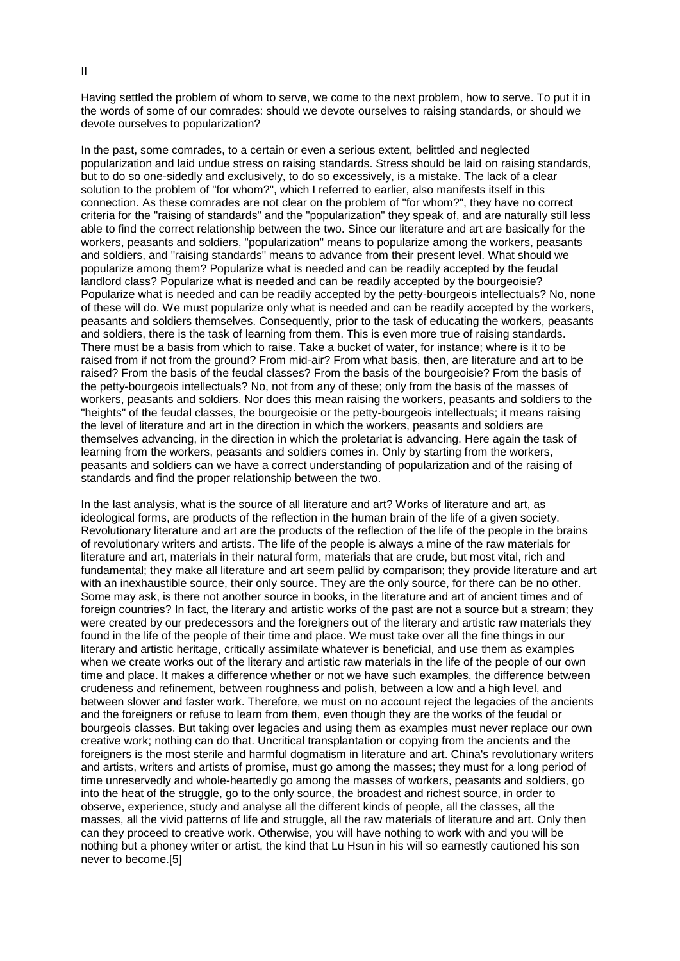Having settled the problem of whom to serve, we come to the next problem, how to serve. To put it in the words of some of our comrades: should we devote ourselves to raising standards, or should we devote ourselves to popularization?

In the past, some comrades, to a certain or even a serious extent, belittled and neglected popularization and laid undue stress on raising standards. Stress should be laid on raising standards, but to do so one-sidedly and exclusively, to do so excessively, is a mistake. The lack of a clear solution to the problem of "for whom?", which I referred to earlier, also manifests itself in this connection. As these comrades are not clear on the problem of "for whom?", they have no correct criteria for the "raising of standards" and the "popularization" they speak of, and are naturally still less able to find the correct relationship between the two. Since our literature and art are basically for the workers, peasants and soldiers, "popularization" means to popularize among the workers, peasants and soldiers, and "raising standards" means to advance from their present level. What should we popularize among them? Popularize what is needed and can be readily accepted by the feudal landlord class? Popularize what is needed and can be readily accepted by the bourgeoisie? Popularize what is needed and can be readily accepted by the petty-bourgeois intellectuals? No, none of these will do. We must popularize only what is needed and can be readily accepted by the workers, peasants and soldiers themselves. Consequently, prior to the task of educating the workers, peasants and soldiers, there is the task of learning from them. This is even more true of raising standards. There must be a basis from which to raise. Take a bucket of water, for instance; where is it to be raised from if not from the ground? From mid-air? From what basis, then, are literature and art to be raised? From the basis of the feudal classes? From the basis of the bourgeoisie? From the basis of the petty-bourgeois intellectuals? No, not from any of these; only from the basis of the masses of workers, peasants and soldiers. Nor does this mean raising the workers, peasants and soldiers to the "heights" of the feudal classes, the bourgeoisie or the petty-bourgeois intellectuals; it means raising the level of literature and art in the direction in which the workers, peasants and soldiers are themselves advancing, in the direction in which the proletariat is advancing. Here again the task of learning from the workers, peasants and soldiers comes in. Only by starting from the workers, peasants and soldiers can we have a correct understanding of popularization and of the raising of standards and find the proper relationship between the two.

In the last analysis, what is the source of all literature and art? Works of literature and art, as ideological forms, are products of the reflection in the human brain of the life of a given society. Revolutionary literature and art are the products of the reflection of the life of the people in the brains of revolutionary writers and artists. The life of the people is always a mine of the raw materials for literature and art, materials in their natural form, materials that are crude, but most vital, rich and fundamental; they make all literature and art seem pallid by comparison; they provide literature and art with an inexhaustible source, their only source. They are the only source, for there can be no other. Some may ask, is there not another source in books, in the literature and art of ancient times and of foreign countries? In fact, the literary and artistic works of the past are not a source but a stream; they were created by our predecessors and the foreigners out of the literary and artistic raw materials they found in the life of the people of their time and place. We must take over all the fine things in our literary and artistic heritage, critically assimilate whatever is beneficial, and use them as examples when we create works out of the literary and artistic raw materials in the life of the people of our own time and place. It makes a difference whether or not we have such examples, the difference between crudeness and refinement, between roughness and polish, between a low and a high level, and between slower and faster work. Therefore, we must on no account reject the legacies of the ancients and the foreigners or refuse to learn from them, even though they are the works of the feudal or bourgeois classes. But taking over legacies and using them as examples must never replace our own creative work; nothing can do that. Uncritical transplantation or copying from the ancients and the foreigners is the most sterile and harmful dogmatism in literature and art. China's revolutionary writers and artists, writers and artists of promise, must go among the masses; they must for a long period of time unreservedly and whole-heartedly go among the masses of workers, peasants and soldiers, go into the heat of the struggle, go to the only source, the broadest and richest source, in order to observe, experience, study and analyse all the different kinds of people, all the classes, all the masses, all the vivid patterns of life and struggle, all the raw materials of literature and art. Only then can they proceed to creative work. Otherwise, you will have nothing to work with and you will be nothing but a phoney writer or artist, the kind that Lu Hsun in his will so earnestly cautioned his son never to become.[5]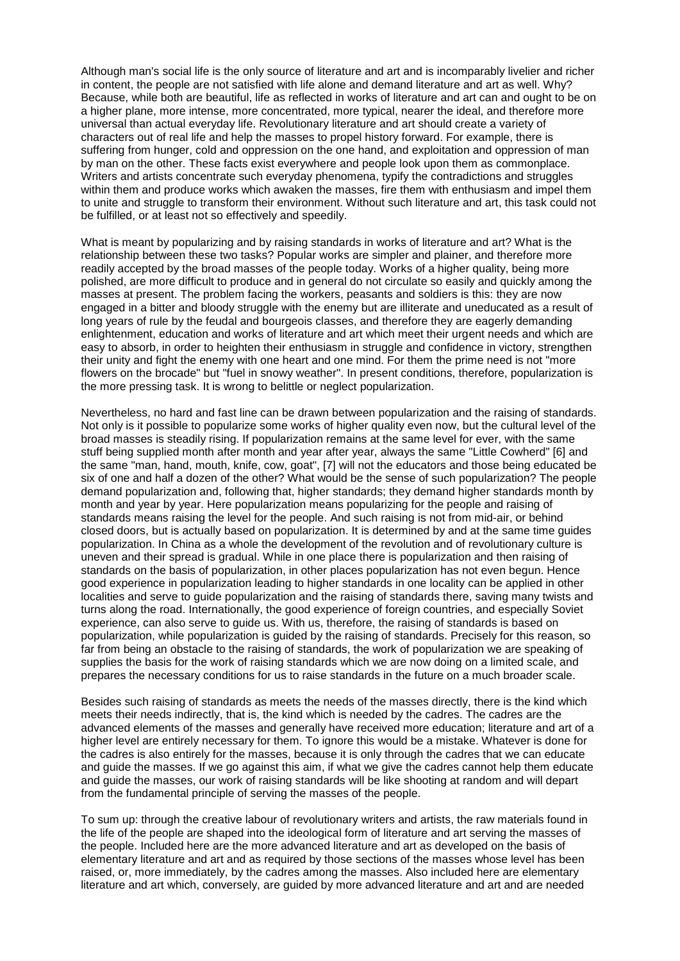Although man's social life is the only source of literature and art and is incomparably livelier and richer in content, the people are not satisfied with life alone and demand literature and art as well. Why? Because, while both are beautiful, life as reflected in works of literature and art can and ought to be on a higher plane, more intense, more concentrated, more typical, nearer the ideal, and therefore more universal than actual everyday life. Revolutionary literature and art should create a variety of characters out of real life and help the masses to propel history forward. For example, there is suffering from hunger, cold and oppression on the one hand, and exploitation and oppression of man by man on the other. These facts exist everywhere and people look upon them as commonplace. Writers and artists concentrate such everyday phenomena, typify the contradictions and struggles within them and produce works which awaken the masses, fire them with enthusiasm and impel them to unite and struggle to transform their environment. Without such literature and art, this task could not be fulfilled, or at least not so effectively and speedily.

What is meant by popularizing and by raising standards in works of literature and art? What is the relationship between these two tasks? Popular works are simpler and plainer, and therefore more readily accepted by the broad masses of the people today. Works of a higher quality, being more polished, are more difficult to produce and in general do not circulate so easily and quickly among the masses at present. The problem facing the workers, peasants and soldiers is this: they are now engaged in a bitter and bloody struggle with the enemy but are illiterate and uneducated as a result of long years of rule by the feudal and bourgeois classes, and therefore they are eagerly demanding enlightenment, education and works of literature and art which meet their urgent needs and which are easy to absorb, in order to heighten their enthusiasm in struggle and confidence in victory, strengthen their unity and fight the enemy with one heart and one mind. For them the prime need is not "more flowers on the brocade" but "fuel in snowy weather". In present conditions, therefore, popularization is the more pressing task. It is wrong to belittle or neglect popularization.

Nevertheless, no hard and fast line can be drawn between popularization and the raising of standards. Not only is it possible to popularize some works of higher quality even now, but the cultural level of the broad masses is steadily rising. If popularization remains at the same level for ever, with the same stuff being supplied month after month and year after year, always the same "Little Cowherd" [6] and the same "man, hand, mouth, knife, cow, goat", [7] will not the educators and those being educated be six of one and half a dozen of the other? What would be the sense of such popularization? The people demand popularization and, following that, higher standards; they demand higher standards month by month and year by year. Here popularization means popularizing for the people and raising of standards means raising the level for the people. And such raising is not from mid-air, or behind closed doors, but is actually based on popularization. It is determined by and at the same time guides popularization. In China as a whole the development of the revolution and of revolutionary culture is uneven and their spread is gradual. While in one place there is popularization and then raising of standards on the basis of popularization, in other places popularization has not even begun. Hence good experience in popularization leading to higher standards in one locality can be applied in other localities and serve to guide popularization and the raising of standards there, saving many twists and turns along the road. Internationally, the good experience of foreign countries, and especially Soviet experience, can also serve to guide us. With us, therefore, the raising of standards is based on popularization, while popularization is guided by the raising of standards. Precisely for this reason, so far from being an obstacle to the raising of standards, the work of popularization we are speaking of supplies the basis for the work of raising standards which we are now doing on a limited scale, and prepares the necessary conditions for us to raise standards in the future on a much broader scale.

Besides such raising of standards as meets the needs of the masses directly, there is the kind which meets their needs indirectly, that is, the kind which is needed by the cadres. The cadres are the advanced elements of the masses and generally have received more education; literature and art of a higher level are entirely necessary for them. To ignore this would be a mistake. Whatever is done for the cadres is also entirely for the masses, because it is only through the cadres that we can educate and guide the masses. If we go against this aim, if what we give the cadres cannot help them educate and guide the masses, our work of raising standards will be like shooting at random and will depart from the fundamental principle of serving the masses of the people.

To sum up: through the creative labour of revolutionary writers and artists, the raw materials found in the life of the people are shaped into the ideological form of literature and art serving the masses of the people. Included here are the more advanced literature and art as developed on the basis of elementary literature and art and as required by those sections of the masses whose level has been raised, or, more immediately, by the cadres among the masses. Also included here are elementary literature and art which, conversely, are guided by more advanced literature and art and are needed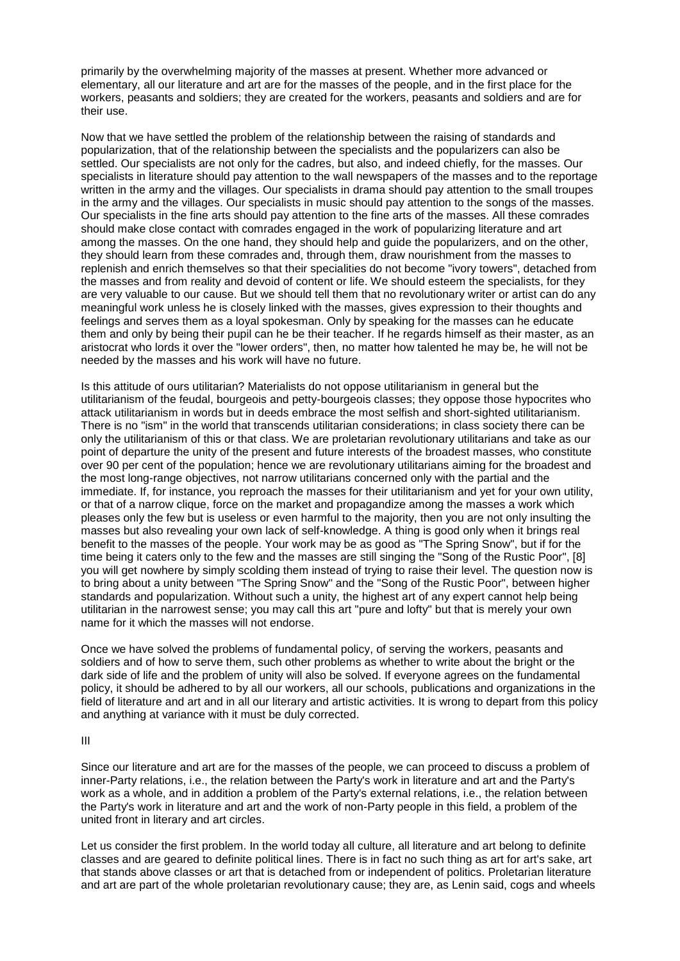primarily by the overwhelming majority of the masses at present. Whether more advanced or elementary, all our literature and art are for the masses of the people, and in the first place for the workers, peasants and soldiers; they are created for the workers, peasants and soldiers and are for their use.

Now that we have settled the problem of the relationship between the raising of standards and popularization, that of the relationship between the specialists and the popularizers can also be settled. Our specialists are not only for the cadres, but also, and indeed chiefly, for the masses. Our specialists in literature should pay attention to the wall newspapers of the masses and to the reportage written in the army and the villages. Our specialists in drama should pay attention to the small troupes in the army and the villages. Our specialists in music should pay attention to the songs of the masses. Our specialists in the fine arts should pay attention to the fine arts of the masses. All these comrades should make close contact with comrades engaged in the work of popularizing literature and art among the masses. On the one hand, they should help and guide the popularizers, and on the other, they should learn from these comrades and, through them, draw nourishment from the masses to replenish and enrich themselves so that their specialities do not become "ivory towers", detached from the masses and from reality and devoid of content or life. We should esteem the specialists, for they are very valuable to our cause. But we should tell them that no revolutionary writer or artist can do any meaningful work unless he is closely linked with the masses, gives expression to their thoughts and feelings and serves them as a loyal spokesman. Only by speaking for the masses can he educate them and only by being their pupil can he be their teacher. If he regards himself as their master, as an aristocrat who lords it over the "lower orders", then, no matter how talented he may be, he will not be needed by the masses and his work will have no future.

Is this attitude of ours utilitarian? Materialists do not oppose utilitarianism in general but the utilitarianism of the feudal, bourgeois and petty-bourgeois classes; they oppose those hypocrites who attack utilitarianism in words but in deeds embrace the most selfish and short-sighted utilitarianism. There is no "ism" in the world that transcends utilitarian considerations; in class society there can be only the utilitarianism of this or that class. We are proletarian revolutionary utilitarians and take as our point of departure the unity of the present and future interests of the broadest masses, who constitute over 90 per cent of the population; hence we are revolutionary utilitarians aiming for the broadest and the most long-range objectives, not narrow utilitarians concerned only with the partial and the immediate. If, for instance, you reproach the masses for their utilitarianism and yet for your own utility, or that of a narrow clique, force on the market and propagandize among the masses a work which pleases only the few but is useless or even harmful to the majority, then you are not only insulting the masses but also revealing your own lack of self-knowledge. A thing is good only when it brings real benefit to the masses of the people. Your work may be as good as "The Spring Snow", but if for the time being it caters only to the few and the masses are still singing the "Song of the Rustic Poor", [8] you will get nowhere by simply scolding them instead of trying to raise their level. The question now is to bring about a unity between "The Spring Snow" and the "Song of the Rustic Poor", between higher standards and popularization. Without such a unity, the highest art of any expert cannot help being utilitarian in the narrowest sense; you may call this art "pure and lofty" but that is merely your own name for it which the masses will not endorse.

Once we have solved the problems of fundamental policy, of serving the workers, peasants and soldiers and of how to serve them, such other problems as whether to write about the bright or the dark side of life and the problem of unity will also be solved. If everyone agrees on the fundamental policy, it should be adhered to by all our workers, all our schools, publications and organizations in the field of literature and art and in all our literary and artistic activities. It is wrong to depart from this policy and anything at variance with it must be duly corrected.

## III

Since our literature and art are for the masses of the people, we can proceed to discuss a problem of inner-Party relations, i.e., the relation between the Party's work in literature and art and the Party's work as a whole, and in addition a problem of the Party's external relations, i.e., the relation between the Party's work in literature and art and the work of non-Party people in this field, a problem of the united front in literary and art circles.

Let us consider the first problem. In the world today all culture, all literature and art belong to definite classes and are geared to definite political lines. There is in fact no such thing as art for art's sake, art that stands above classes or art that is detached from or independent of politics. Proletarian literature and art are part of the whole proletarian revolutionary cause; they are, as Lenin said, cogs and wheels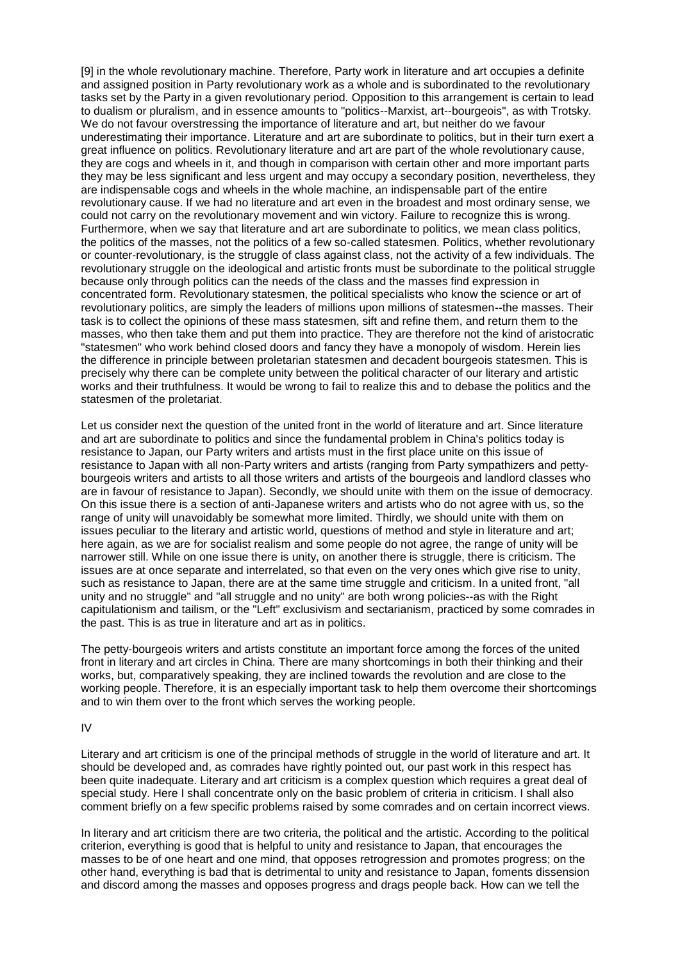[9] in the whole revolutionary machine. Therefore, Party work in literature and art occupies a definite and assigned position in Party revolutionary work as a whole and is subordinated to the revolutionary tasks set by the Party in a given revolutionary period. Opposition to this arrangement is certain to lead to dualism or pluralism, and in essence amounts to "politics--Marxist, art--bourgeois", as with Trotsky. We do not favour overstressing the importance of literature and art, but neither do we favour underestimating their importance. Literature and art are subordinate to politics, but in their turn exert a great influence on politics. Revolutionary literature and art are part of the whole revolutionary cause, they are cogs and wheels in it, and though in comparison with certain other and more important parts they may be less significant and less urgent and may occupy a secondary position, nevertheless, they are indispensable cogs and wheels in the whole machine, an indispensable part of the entire revolutionary cause. If we had no literature and art even in the broadest and most ordinary sense, we could not carry on the revolutionary movement and win victory. Failure to recognize this is wrong. Furthermore, when we say that literature and art are subordinate to politics, we mean class politics, the politics of the masses, not the politics of a few so-called statesmen. Politics, whether revolutionary or counter-revolutionary, is the struggle of class against class, not the activity of a few individuals. The revolutionary struggle on the ideological and artistic fronts must be subordinate to the political struggle because only through politics can the needs of the class and the masses find expression in concentrated form. Revolutionary statesmen, the political specialists who know the science or art of revolutionary politics, are simply the leaders of millions upon millions of statesmen--the masses. Their task is to collect the opinions of these mass statesmen, sift and refine them, and return them to the masses, who then take them and put them into practice. They are therefore not the kind of aristocratic "statesmen" who work behind closed doors and fancy they have a monopoly of wisdom. Herein lies the difference in principle between proletarian statesmen and decadent bourgeois statesmen. This is precisely why there can be complete unity between the political character of our literary and artistic works and their truthfulness. It would be wrong to fail to realize this and to debase the politics and the statesmen of the proletariat.

Let us consider next the question of the united front in the world of literature and art. Since literature and art are subordinate to politics and since the fundamental problem in China's politics today is resistance to Japan, our Party writers and artists must in the first place unite on this issue of resistance to Japan with all non-Party writers and artists (ranging from Party sympathizers and pettybourgeois writers and artists to all those writers and artists of the bourgeois and landlord classes who are in favour of resistance to Japan). Secondly, we should unite with them on the issue of democracy. On this issue there is a section of anti-Japanese writers and artists who do not agree with us, so the range of unity will unavoidably be somewhat more limited. Thirdly, we should unite with them on issues peculiar to the literary and artistic world, questions of method and style in literature and art; here again, as we are for socialist realism and some people do not agree, the range of unity will be narrower still. While on one issue there is unity, on another there is struggle, there is criticism. The issues are at once separate and interrelated, so that even on the very ones which give rise to unity, such as resistance to Japan, there are at the same time struggle and criticism. In a united front, "all unity and no struggle" and "all struggle and no unity" are both wrong policies--as with the Right capitulationism and tailism, or the "Left" exclusivism and sectarianism, practiced by some comrades in the past. This is as true in literature and art as in politics.

The petty-bourgeois writers and artists constitute an important force among the forces of the united front in literary and art circles in China. There are many shortcomings in both their thinking and their works, but, comparatively speaking, they are inclined towards the revolution and are close to the working people. Therefore, it is an especially important task to help them overcome their shortcomings and to win them over to the front which serves the working people.

IV

Literary and art criticism is one of the principal methods of struggle in the world of literature and art. It should be developed and, as comrades have rightly pointed out, our past work in this respect has been quite inadequate. Literary and art criticism is a complex question which requires a great deal of special study. Here I shall concentrate only on the basic problem of criteria in criticism. I shall also comment briefly on a few specific problems raised by some comrades and on certain incorrect views.

In literary and art criticism there are two criteria, the political and the artistic. According to the political criterion, everything is good that is helpful to unity and resistance to Japan, that encourages the masses to be of one heart and one mind, that opposes retrogression and promotes progress; on the other hand, everything is bad that is detrimental to unity and resistance to Japan, foments dissension and discord among the masses and opposes progress and drags people back. How can we tell the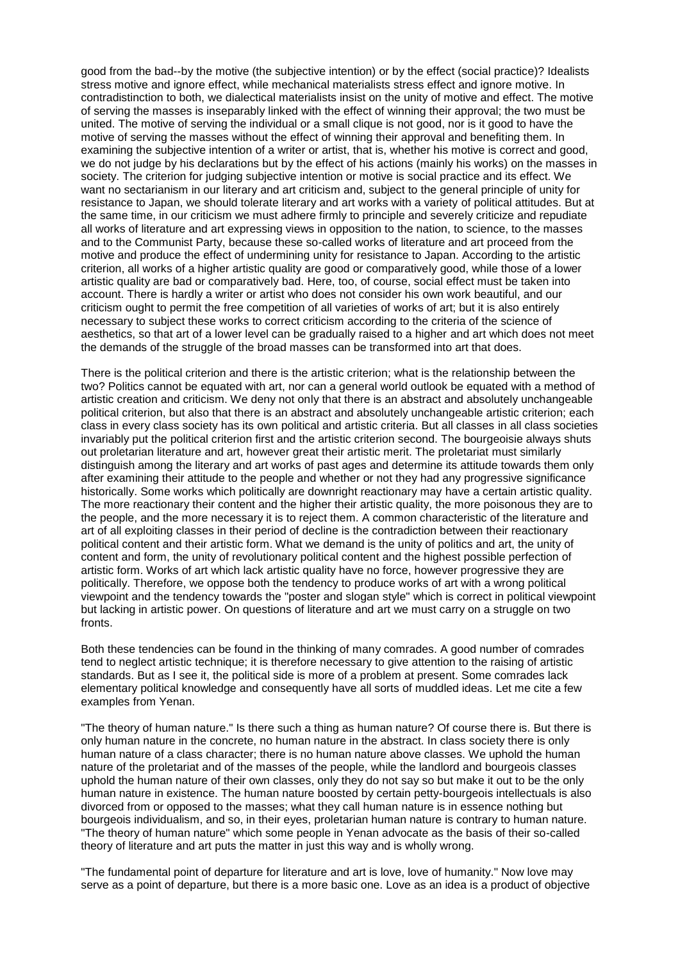good from the bad--by the motive (the subjective intention) or by the effect (social practice)? Idealists stress motive and ignore effect, while mechanical materialists stress effect and ignore motive. In contradistinction to both, we dialectical materialists insist on the unity of motive and effect. The motive of serving the masses is inseparably linked with the effect of winning their approval; the two must be united. The motive of serving the individual or a small clique is not good, nor is it good to have the motive of serving the masses without the effect of winning their approval and benefiting them. In examining the subjective intention of a writer or artist, that is, whether his motive is correct and good, we do not judge by his declarations but by the effect of his actions (mainly his works) on the masses in society. The criterion for judging subjective intention or motive is social practice and its effect. We want no sectarianism in our literary and art criticism and, subject to the general principle of unity for resistance to Japan, we should tolerate literary and art works with a variety of political attitudes. But at the same time, in our criticism we must adhere firmly to principle and severely criticize and repudiate all works of literature and art expressing views in opposition to the nation, to science, to the masses and to the Communist Party, because these so-called works of literature and art proceed from the motive and produce the effect of undermining unity for resistance to Japan. According to the artistic criterion, all works of a higher artistic quality are good or comparatively good, while those of a lower artistic quality are bad or comparatively bad. Here, too, of course, social effect must be taken into account. There is hardly a writer or artist who does not consider his own work beautiful, and our criticism ought to permit the free competition of all varieties of works of art; but it is also entirely necessary to subject these works to correct criticism according to the criteria of the science of aesthetics, so that art of a lower level can be gradually raised to a higher and art which does not meet the demands of the struggle of the broad masses can be transformed into art that does.

There is the political criterion and there is the artistic criterion; what is the relationship between the two? Politics cannot be equated with art, nor can a general world outlook be equated with a method of artistic creation and criticism. We deny not only that there is an abstract and absolutely unchangeable political criterion, but also that there is an abstract and absolutely unchangeable artistic criterion; each class in every class society has its own political and artistic criteria. But all classes in all class societies invariably put the political criterion first and the artistic criterion second. The bourgeoisie always shuts out proletarian literature and art, however great their artistic merit. The proletariat must similarly distinguish among the literary and art works of past ages and determine its attitude towards them only after examining their attitude to the people and whether or not they had any progressive significance historically. Some works which politically are downright reactionary may have a certain artistic quality. The more reactionary their content and the higher their artistic quality, the more poisonous they are to the people, and the more necessary it is to reject them. A common characteristic of the literature and art of all exploiting classes in their period of decline is the contradiction between their reactionary political content and their artistic form. What we demand is the unity of politics and art, the unity of content and form, the unity of revolutionary political content and the highest possible perfection of artistic form. Works of art which lack artistic quality have no force, however progressive they are politically. Therefore, we oppose both the tendency to produce works of art with a wrong political viewpoint and the tendency towards the "poster and slogan style" which is correct in political viewpoint but lacking in artistic power. On questions of literature and art we must carry on a struggle on two fronts.

Both these tendencies can be found in the thinking of many comrades. A good number of comrades tend to neglect artistic technique; it is therefore necessary to give attention to the raising of artistic standards. But as I see it, the political side is more of a problem at present. Some comrades lack elementary political knowledge and consequently have all sorts of muddled ideas. Let me cite a few examples from Yenan.

"The theory of human nature." Is there such a thing as human nature? Of course there is. But there is only human nature in the concrete, no human nature in the abstract. In class society there is only human nature of a class character; there is no human nature above classes. We uphold the human nature of the proletariat and of the masses of the people, while the landlord and bourgeois classes uphold the human nature of their own classes, only they do not say so but make it out to be the only human nature in existence. The human nature boosted by certain petty-bourgeois intellectuals is also divorced from or opposed to the masses; what they call human nature is in essence nothing but bourgeois individualism, and so, in their eyes, proletarian human nature is contrary to human nature. "The theory of human nature" which some people in Yenan advocate as the basis of their so-called theory of literature and art puts the matter in just this way and is wholly wrong.

"The fundamental point of departure for literature and art is love, love of humanity." Now love may serve as a point of departure, but there is a more basic one. Love as an idea is a product of objective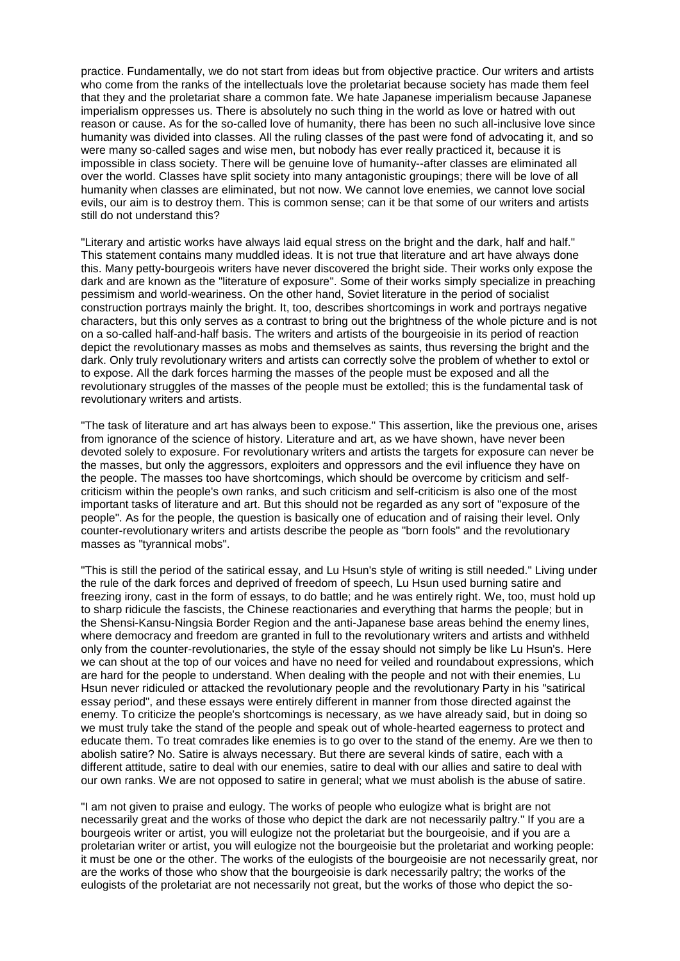practice. Fundamentally, we do not start from ideas but from objective practice. Our writers and artists who come from the ranks of the intellectuals love the proletariat because society has made them feel that they and the proletariat share a common fate. We hate Japanese imperialism because Japanese imperialism oppresses us. There is absolutely no such thing in the world as love or hatred with out reason or cause. As for the so-called love of humanity, there has been no such all-inclusive love since humanity was divided into classes. All the ruling classes of the past were fond of advocating it, and so were many so-called sages and wise men, but nobody has ever really practiced it, because it is impossible in class society. There will be genuine love of humanity--after classes are eliminated all over the world. Classes have split society into many antagonistic groupings; there will be love of all humanity when classes are eliminated, but not now. We cannot love enemies, we cannot love social evils, our aim is to destroy them. This is common sense; can it be that some of our writers and artists still do not understand this?

"Literary and artistic works have always laid equal stress on the bright and the dark, half and half." This statement contains many muddled ideas. It is not true that literature and art have always done this. Many petty-bourgeois writers have never discovered the bright side. Their works only expose the dark and are known as the "literature of exposure". Some of their works simply specialize in preaching pessimism and world-weariness. On the other hand, Soviet literature in the period of socialist construction portrays mainly the bright. It, too, describes shortcomings in work and portrays negative characters, but this only serves as a contrast to bring out the brightness of the whole picture and is not on a so-called half-and-half basis. The writers and artists of the bourgeoisie in its period of reaction depict the revolutionary masses as mobs and themselves as saints, thus reversing the bright and the dark. Only truly revolutionary writers and artists can correctly solve the problem of whether to extol or to expose. All the dark forces harming the masses of the people must be exposed and all the revolutionary struggles of the masses of the people must be extolled; this is the fundamental task of revolutionary writers and artists.

"The task of literature and art has always been to expose." This assertion, like the previous one, arises from ignorance of the science of history. Literature and art, as we have shown, have never been devoted solely to exposure. For revolutionary writers and artists the targets for exposure can never be the masses, but only the aggressors, exploiters and oppressors and the evil influence they have on the people. The masses too have shortcomings, which should be overcome by criticism and selfcriticism within the people's own ranks, and such criticism and self-criticism is also one of the most important tasks of literature and art. But this should not be regarded as any sort of "exposure of the people". As for the people, the question is basically one of education and of raising their level. Only counter-revolutionary writers and artists describe the people as "born fools" and the revolutionary masses as "tyrannical mobs".

"This is still the period of the satirical essay, and Lu Hsun's style of writing is still needed." Living under the rule of the dark forces and deprived of freedom of speech, Lu Hsun used burning satire and freezing irony, cast in the form of essays, to do battle; and he was entirely right. We, too, must hold up to sharp ridicule the fascists, the Chinese reactionaries and everything that harms the people; but in the Shensi-Kansu-Ningsia Border Region and the anti-Japanese base areas behind the enemy lines, where democracy and freedom are granted in full to the revolutionary writers and artists and withheld only from the counter-revolutionaries, the style of the essay should not simply be like Lu Hsun's. Here we can shout at the top of our voices and have no need for veiled and roundabout expressions, which are hard for the people to understand. When dealing with the people and not with their enemies, Lu Hsun never ridiculed or attacked the revolutionary people and the revolutionary Party in his "satirical essay period", and these essays were entirely different in manner from those directed against the enemy. To criticize the people's shortcomings is necessary, as we have already said, but in doing so we must truly take the stand of the people and speak out of whole-hearted eagerness to protect and educate them. To treat comrades like enemies is to go over to the stand of the enemy. Are we then to abolish satire? No. Satire is always necessary. But there are several kinds of satire, each with a different attitude, satire to deal with our enemies, satire to deal with our allies and satire to deal with our own ranks. We are not opposed to satire in general; what we must abolish is the abuse of satire.

"I am not given to praise and eulogy. The works of people who eulogize what is bright are not necessarily great and the works of those who depict the dark are not necessarily paltry." If you are a bourgeois writer or artist, you will eulogize not the proletariat but the bourgeoisie, and if you are a proletarian writer or artist, you will eulogize not the bourgeoisie but the proletariat and working people: it must be one or the other. The works of the eulogists of the bourgeoisie are not necessarily great, nor are the works of those who show that the bourgeoisie is dark necessarily paltry; the works of the eulogists of the proletariat are not necessarily not great, but the works of those who depict the so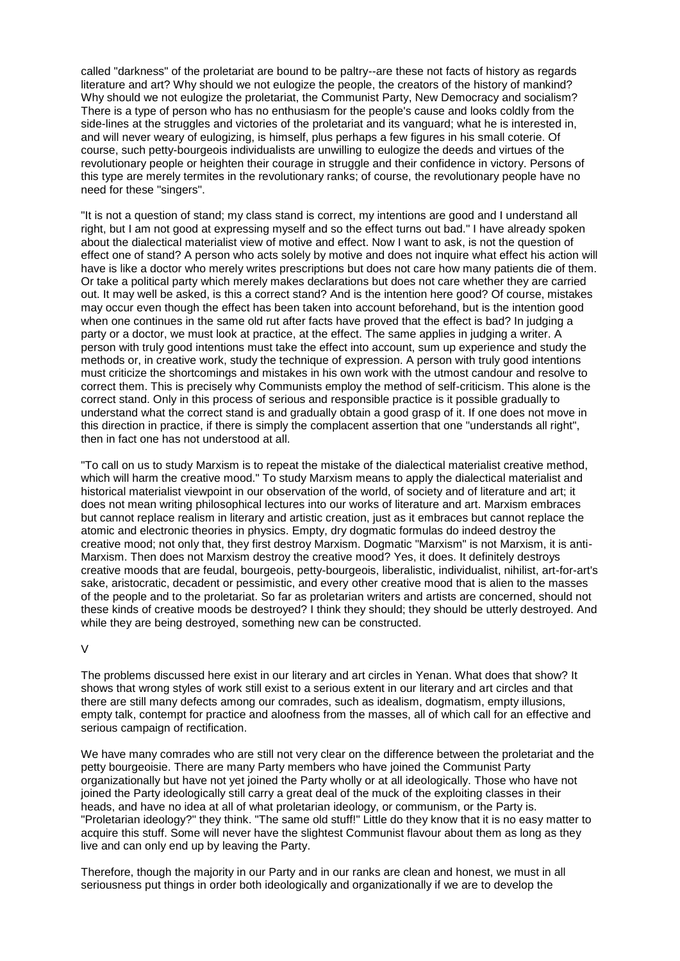called "darkness" of the proletariat are bound to be paltry--are these not facts of history as regards literature and art? Why should we not eulogize the people, the creators of the history of mankind? Why should we not eulogize the proletariat, the Communist Party, New Democracy and socialism? There is a type of person who has no enthusiasm for the people's cause and looks coldly from the side-lines at the struggles and victories of the proletariat and its vanguard; what he is interested in, and will never weary of eulogizing, is himself, plus perhaps a few figures in his small coterie. Of course, such petty-bourgeois individualists are unwilling to eulogize the deeds and virtues of the revolutionary people or heighten their courage in struggle and their confidence in victory. Persons of this type are merely termites in the revolutionary ranks; of course, the revolutionary people have no need for these "singers".

"It is not a question of stand; my class stand is correct, my intentions are good and I understand all right, but I am not good at expressing myself and so the effect turns out bad." I have already spoken about the dialectical materialist view of motive and effect. Now I want to ask, is not the question of effect one of stand? A person who acts solely by motive and does not inquire what effect his action will have is like a doctor who merely writes prescriptions but does not care how many patients die of them. Or take a political party which merely makes declarations but does not care whether they are carried out. It may well be asked, is this a correct stand? And is the intention here good? Of course, mistakes may occur even though the effect has been taken into account beforehand, but is the intention good when one continues in the same old rut after facts have proved that the effect is bad? In judging a party or a doctor, we must look at practice, at the effect. The same applies in judging a writer. A person with truly good intentions must take the effect into account, sum up experience and study the methods or, in creative work, study the technique of expression. A person with truly good intentions must criticize the shortcomings and mistakes in his own work with the utmost candour and resolve to correct them. This is precisely why Communists employ the method of self-criticism. This alone is the correct stand. Only in this process of serious and responsible practice is it possible gradually to understand what the correct stand is and gradually obtain a good grasp of it. If one does not move in this direction in practice, if there is simply the complacent assertion that one "understands all right", then in fact one has not understood at all.

"To call on us to study Marxism is to repeat the mistake of the dialectical materialist creative method, which will harm the creative mood." To study Marxism means to apply the dialectical materialist and historical materialist viewpoint in our observation of the world, of society and of literature and art; it does not mean writing philosophical lectures into our works of literature and art. Marxism embraces but cannot replace realism in literary and artistic creation, just as it embraces but cannot replace the atomic and electronic theories in physics. Empty, dry dogmatic formulas do indeed destroy the creative mood; not only that, they first destroy Marxism. Dogmatic "Marxism" is not Marxism, it is anti-Marxism. Then does not Marxism destroy the creative mood? Yes, it does. It definitely destroys creative moods that are feudal, bourgeois, petty-bourgeois, liberalistic, individualist, nihilist, art-for-art's sake, aristocratic, decadent or pessimistic, and every other creative mood that is alien to the masses of the people and to the proletariat. So far as proletarian writers and artists are concerned, should not these kinds of creative moods be destroyed? I think they should; they should be utterly destroyed. And while they are being destroyed, something new can be constructed.

#### V

The problems discussed here exist in our literary and art circles in Yenan. What does that show? It shows that wrong styles of work still exist to a serious extent in our literary and art circles and that there are still many defects among our comrades, such as idealism, dogmatism, empty illusions, empty talk, contempt for practice and aloofness from the masses, all of which call for an effective and serious campaign of rectification.

We have many comrades who are still not very clear on the difference between the proletariat and the petty bourgeoisie. There are many Party members who have joined the Communist Party organizationally but have not yet joined the Party wholly or at all ideologically. Those who have not joined the Party ideologically still carry a great deal of the muck of the exploiting classes in their heads, and have no idea at all of what proletarian ideology, or communism, or the Party is. "Proletarian ideology?" they think. "The same old stuff!" Little do they know that it is no easy matter to acquire this stuff. Some will never have the slightest Communist flavour about them as long as they live and can only end up by leaving the Party.

Therefore, though the majority in our Party and in our ranks are clean and honest, we must in all seriousness put things in order both ideologically and organizationally if we are to develop the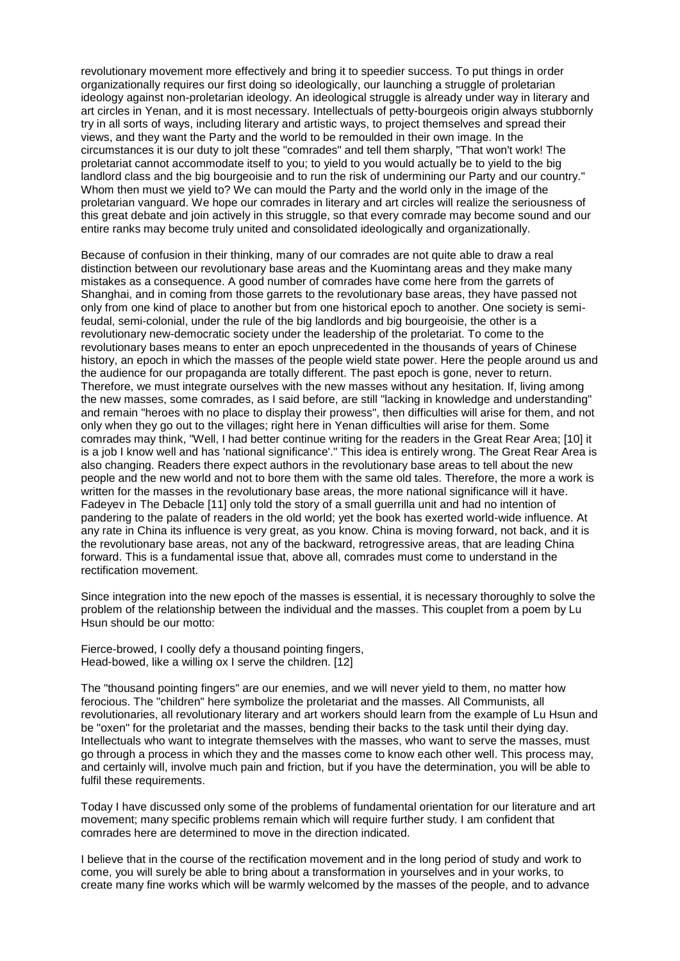revolutionary movement more effectively and bring it to speedier success. To put things in order organizationally requires our first doing so ideologically, our launching a struggle of proletarian ideology against non-proletarian ideology. An ideological struggle is already under way in literary and art circles in Yenan, and it is most necessary. Intellectuals of petty-bourgeois origin always stubbornly try in all sorts of ways, including literary and artistic ways, to project themselves and spread their views, and they want the Party and the world to be remoulded in their own image. In the circumstances it is our duty to jolt these "comrades" and tell them sharply, "That won't work! The proletariat cannot accommodate itself to you; to yield to you would actually be to yield to the big landlord class and the big bourgeoisie and to run the risk of undermining our Party and our country." Whom then must we yield to? We can mould the Party and the world only in the image of the proletarian vanguard. We hope our comrades in literary and art circles will realize the seriousness of this great debate and join actively in this struggle, so that every comrade may become sound and our entire ranks may become truly united and consolidated ideologically and organizationally.

Because of confusion in their thinking, many of our comrades are not quite able to draw a real distinction between our revolutionary base areas and the Kuomintang areas and they make many mistakes as a consequence. A good number of comrades have come here from the garrets of Shanghai, and in coming from those garrets to the revolutionary base areas, they have passed not only from one kind of place to another but from one historical epoch to another. One society is semifeudal, semi-colonial, under the rule of the big landlords and big bourgeoisie, the other is a revolutionary new-democratic society under the leadership of the proletariat. To come to the revolutionary bases means to enter an epoch unprecedented in the thousands of years of Chinese history, an epoch in which the masses of the people wield state power. Here the people around us and the audience for our propaganda are totally different. The past epoch is gone, never to return. Therefore, we must integrate ourselves with the new masses without any hesitation. If, living among the new masses, some comrades, as I said before, are still "lacking in knowledge and understanding" and remain "heroes with no place to display their prowess", then difficulties will arise for them, and not only when they go out to the villages; right here in Yenan difficulties will arise for them. Some comrades may think, "Well, I had better continue writing for the readers in the Great Rear Area; [10] it is a job I know well and has 'national significance'." This idea is entirely wrong. The Great Rear Area is also changing. Readers there expect authors in the revolutionary base areas to tell about the new people and the new world and not to bore them with the same old tales. Therefore, the more a work is written for the masses in the revolutionary base areas, the more national significance will it have. Fadeyev in The Debacle [11] only told the story of a small guerrilla unit and had no intention of pandering to the palate of readers in the old world; yet the book has exerted world-wide influence. At any rate in China its influence is very great, as you know. China is moving forward, not back, and it is the revolutionary base areas, not any of the backward, retrogressive areas, that are leading China forward. This is a fundamental issue that, above all, comrades must come to understand in the rectification movement.

Since integration into the new epoch of the masses is essential, it is necessary thoroughly to solve the problem of the relationship between the individual and the masses. This couplet from a poem by Lu Hsun should be our motto:

Fierce-browed, I coolly defy a thousand pointing fingers, Head-bowed, like a willing ox I serve the children. [12]

The "thousand pointing fingers" are our enemies, and we will never yield to them, no matter how ferocious. The "children" here symbolize the proletariat and the masses. All Communists, all revolutionaries, all revolutionary literary and art workers should learn from the example of Lu Hsun and be "oxen" for the proletariat and the masses, bending their backs to the task until their dying day. Intellectuals who want to integrate themselves with the masses, who want to serve the masses, must go through a process in which they and the masses come to know each other well. This process may, and certainly will, involve much pain and friction, but if you have the determination, you will be able to fulfil these requirements.

Today I have discussed only some of the problems of fundamental orientation for our literature and art movement; many specific problems remain which will require further study. I am confident that comrades here are determined to move in the direction indicated.

I believe that in the course of the rectification movement and in the long period of study and work to come, you will surely be able to bring about a transformation in yourselves and in your works, to create many fine works which will be warmly welcomed by the masses of the people, and to advance